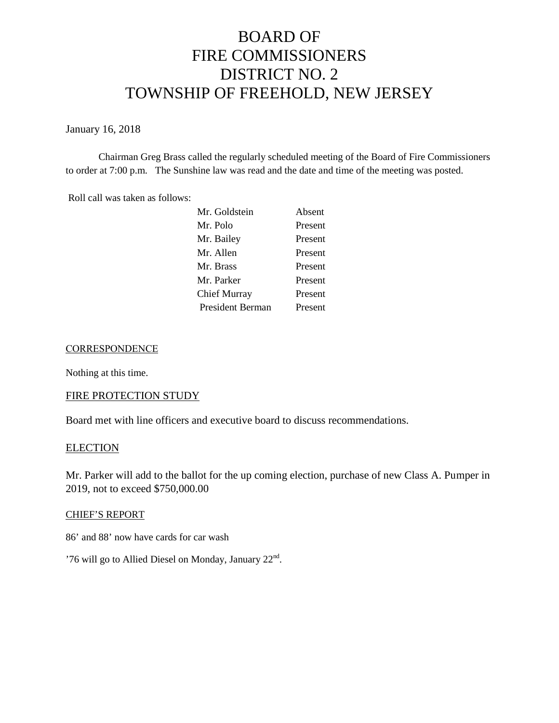# BOARD OF FIRE COMMISSIONERS DISTRICT NO. 2 TOWNSHIP OF FREEHOLD, NEW JERSEY

January 16, 2018

Chairman Greg Brass called the regularly scheduled meeting of the Board of Fire Commissioners to order at 7:00 p.m. The Sunshine law was read and the date and time of the meeting was posted.

Roll call was taken as follows:

| Mr. Goldstein       | Absent  |
|---------------------|---------|
| Mr. Polo            | Present |
| Mr. Bailey          | Present |
| Mr. Allen           | Present |
| Mr. Brass           | Present |
| Mr. Parker          | Present |
| <b>Chief Murray</b> | Present |
| President Berman    | Present |

#### **CORRESPONDENCE**

Nothing at this time.

# FIRE PROTECTION STUDY

Board met with line officers and executive board to discuss recommendations.

### **ELECTION**

Mr. Parker will add to the ballot for the up coming election, purchase of new Class A. Pumper in 2019, not to exceed \$750,000.00

#### CHIEF'S REPORT

86' and 88' now have cards for car wash

'76 will go to Allied Diesel on Monday, January 22<sup>nd</sup>.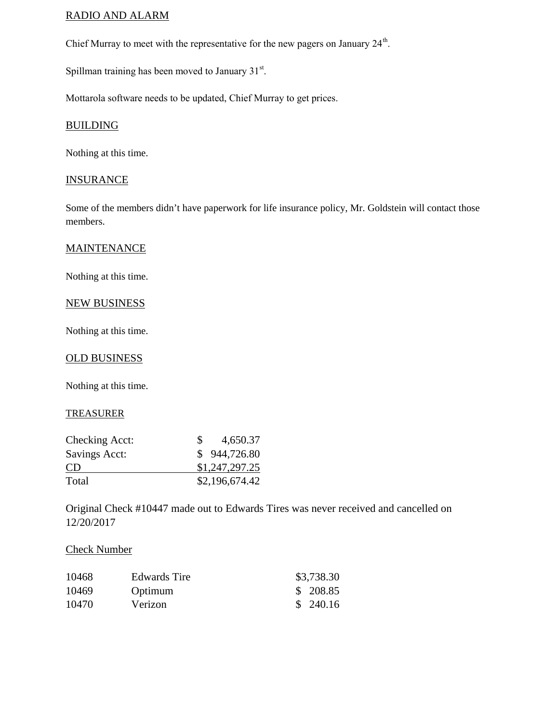## RADIO AND ALARM

Chief Murray to meet with the representative for the new pagers on January  $24^{\text{th}}$ .

Spillman training has been moved to January  $31<sup>st</sup>$ .

Mottarola software needs to be updated, Chief Murray to get prices.

#### BUILDING

Nothing at this time.

#### **INSURANCE**

Some of the members didn't have paperwork for life insurance policy, Mr. Goldstein will contact those members.

#### **MAINTENANCE**

Nothing at this time.

# NEW BUSINESS

Nothing at this time.

#### OLD BUSINESS

Nothing at this time.

#### TREASURER

| Checking Acct: | 4,650.37       |
|----------------|----------------|
| Savings Acct:  | \$944,726.80   |
| <b>CD</b>      | \$1,247,297.25 |
| Total          | \$2,196,674.42 |

Original Check #10447 made out to Edwards Tires was never received and cancelled on 12/20/2017

## Check Number

| 10468 | <b>Edwards Tire</b> | \$3,738.30 |
|-------|---------------------|------------|
| 10469 | Optimum             | \$ 208.85  |
| 10470 | Verizon             | \$240.16   |